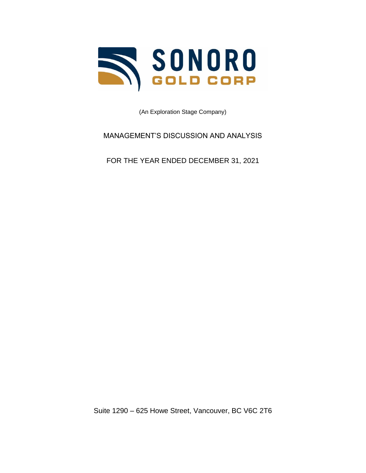

(An Exploration Stage Company)

MANAGEMENT'S DISCUSSION AND ANALYSIS

FOR THE YEAR ENDED DECEMBER 31, 2021

Suite 1290 – 625 Howe Street, Vancouver, BC V6C 2T6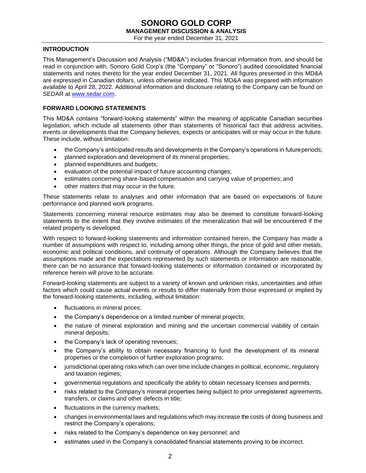For the year ended December 31, 2021

### **INTRODUCTION**

This Management's Discussion and Analysis ("MD&A") includes financial information from, and should be read in conjunction with, Sonoro Gold Corp's (the "Company" or "Sonoro") audited consolidated financial statements and notes thereto for the year ended December 31, 2021. All figures presented in this MD&A are expressed in Canadian dollars, unless otherwise indicated. This MD&A was prepared with information available to April 28, 2022. Additional information and disclosure relating to the Company can be found on SEDAR at [www.sedar.com.](http://www.sedar.com/)

### **FORWARD LOOKING STATEMENTS**

This MD&A contains "forward-looking statements" within the meaning of applicable Canadian securities legislation, which include all statements other than statements of historical fact that address activities, events or developments that the Company believes, expects or anticipates will or may occur in the future. These include, without limitation:

- the Company's anticipated results and developments in the Company's operations in futureperiods;
- planned exploration and development of its mineral properties;
- planned expenditures and budgets;
- evaluation of the potential impact of future accounting changes;
- estimates concerning share-based compensation and carrying value of properties; and
- other matters that may occur in the future.

These statements relate to analyses and other information that are based on expectations of future performance and planned work programs.

Statements concerning mineral resource estimates may also be deemed to constitute forward-looking statements to the extent that they involve estimates of the mineralization that will be encountered if the related property is developed.

With respect to forward-looking statements and information contained herein, the Company has made a number of assumptions with respect to, including among other things, the price of gold and other metals, economic and political conditions, and continuity of operations. Although the Company believes that the assumptions made and the expectations represented by such statements or information are reasonable, there can be no assurance that forward-looking statements or information contained or incorporated by reference herein will prove to be accurate.

Forward-looking statements are subject to a variety of known and unknown risks, uncertainties and other factors which could cause actual events or results to differ materially from those expressed or implied by the forward-looking statements, including, without limitation:

- fluctuations in mineral prices;
- the Company's dependence on a limited number of mineral projects;
- the nature of mineral exploration and mining and the uncertain commercial viability of certain mineral deposits;
- the Company's lack of operating revenues;
- the Company's ability to obtain necessary financing to fund the development of its mineral properties or the completion of further exploration programs;
- jurisdictional operating risks which can over time include changes in political, economic, regulatory and taxation regimes;
- governmental regulations and specifically the ability to obtain necessary licenses and permits;
- risks related to the Company's mineral properties being subject to prior unregistered agreements, transfers, or claims and other defects in title;
- fluctuations in the currency markets;
- changes in environmental laws and regulations which may increase the costs of doing business and restrict the Company's operations;
- risks related to the Company's dependence on key personnel; and
- estimates used in the Company's consolidated financial statements proving to be incorrect.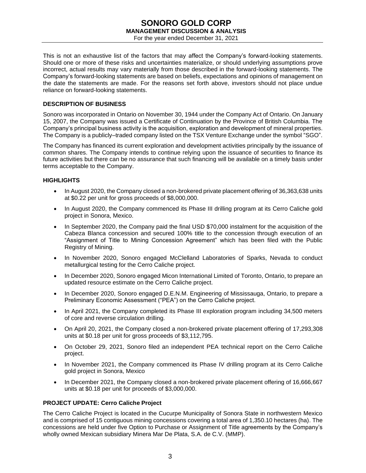### **SONORO GOLD CORP MANAGEMENT DISCUSSION & ANALYSIS** For the year ended December 31, 2021

This is not an exhaustive list of the factors that may affect the Company's forward-looking statements. Should one or more of these risks and uncertainties materialize, or should underlying assumptions prove incorrect, actual results may vary materially from those described in the forward-looking statements. The Company's forward-looking statements are based on beliefs, expectations and opinions of management on the date the statements are made. For the reasons set forth above, investors should not place undue reliance on forward-looking statements.

### **DESCRIPTION OF BUSINESS**

Sonoro was incorporated in Ontario on November 30, 1944 under the Company Act of Ontario. On January 15, 2007, the Company was issued a Certificate of Continuation by the Province of British Columbia. The Company's principal business activity is the acquisition, exploration and development of mineral properties. The Company is a publicly–traded company listed on the TSX Venture Exchange under the symbol "SGO".

The Company has financed its current exploration and development activities principally by the issuance of common shares. The Company intends to continue relying upon the issuance of securities to finance its future activities but there can be no assurance that such financing will be available on a timely basis under terms acceptable to the Company.

### **HIGHLIGHTS**

- In August 2020, the Company closed a non-brokered private placement offering of 36,363,638 units at \$0.22 per unit for gross proceeds of \$8,000,000.
- In August 2020, the Company commenced its Phase III drilling program at its Cerro Caliche gold project in Sonora, Mexico.
- In September 2020, the Company paid the final USD \$70,000 instalment for the acquisition of the Cabeza Blanca concession and secured 100% title to the concession through execution of an "Assignment of Title to Mining Concession Agreement" which has been filed with the Public Registry of Mining.
- In November 2020, Sonoro engaged McClelland Laboratories of Sparks, Nevada to conduct metallurgical testing for the Cerro Caliche project.
- In December 2020, Sonoro engaged Micon International Limited of Toronto, Ontario, to prepare an updated resource estimate on the Cerro Caliche project.
- In December 2020, Sonoro engaged D.E.N.M. Engineering of Mississauga, Ontario, to prepare a Preliminary Economic Assessment ("PEA") on the Cerro Caliche project.
- In April 2021, the Company completed its Phase III exploration program including 34,500 meters of core and reverse circulation drilling.
- On April 20, 2021, the Company closed a non-brokered private placement offering of 17,293,308 units at \$0.18 per unit for gross proceeds of \$3,112,795.
- On October 29, 2021, Sonoro filed an independent PEA technical report on the Cerro Caliche project.
- In November 2021, the Company commenced its Phase IV drilling program at its Cerro Caliche gold project in Sonora, Mexico
- In December 2021, the Company closed a non-brokered private placement offering of 16,666,667 units at \$0.18 per unit for proceeds of \$3,000,000.

### **PROJECT UPDATE: Cerro Caliche Project**

The Cerro Caliche Project is located in the Cucurpe Municipality of Sonora State in northwestern Mexico and is comprised of 15 contiguous mining concessions covering a total area of 1,350.10 hectares (ha). The concessions are held under five Option to Purchase or Assignment of Title agreements by the Company's wholly owned Mexican subsidiary Minera Mar De Plata, S.A. de C.V. (MMP).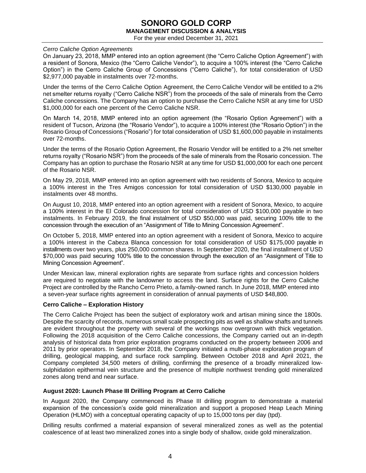For the year ended December 31, 2021

### *Cerro Caliche Option Agreements*

On January 23, 2018, MMP entered into an option agreement (the "Cerro Caliche Option Agreement") with a resident of Sonora, Mexico (the "Cerro Caliche Vendor"), to acquire a 100% interest (the "Cerro Caliche Option") in the Cerro Caliche Group of Concessions ("Cerro Caliche"), for total consideration of USD \$2,977,000 payable in instalments over 72-months.

Under the terms of the Cerro Caliche Option Agreement, the Cerro Caliche Vendor will be entitled to a 2% net smelter returns royalty ("Cerro Caliche NSR") from the proceeds of the sale of minerals from the Cerro Caliche concessions. The Company has an option to purchase the Cerro Caliche NSR at any time for USD \$1,000,000 for each one percent of the Cerro Caliche NSR.

On March 14, 2018, MMP entered into an option agreement (the "Rosario Option Agreement") with a resident of Tucson, Arizona (the "Rosario Vendor"), to acquire a 100% interest (the "Rosario Option") in the Rosario Group of Concessions ("Rosario") for total consideration of USD \$1,600,000 payable in instalments over 72-months.

Under the terms of the Rosario Option Agreement, the Rosario Vendor will be entitled to a 2% net smelter returns royalty ("Rosario NSR") from the proceeds of the sale of minerals from the Rosario concession. The Company has an option to purchase the Rosario NSR at any time for USD \$1,000,000 for each one percent of the Rosario NSR.

On May 29, 2018, MMP entered into an option agreement with two residents of Sonora, Mexico to acquire a 100% interest in the Tres Amigos concession for total consideration of USD \$130,000 payable in instalments over 48 months.

On August 10, 2018, MMP entered into an option agreement with a resident of Sonora, Mexico, to acquire a 100% interest in the El Colorado concession for total consideration of USD \$100,000 payable in two instalments. In February 2019, the final instalment of USD \$50,000 was paid, securing 100% title to the concession through the execution of an "Assignment of Title to Mining Concession Agreement".

On October 5, 2018, MMP entered into an option agreement with a resident of Sonora, Mexico to acquire a 100% interest in the Cabeza Blanca concession for total consideration of USD \$175,000 payable in installments over two years, plus 250,000 common shares. In September 2020, the final installment of USD \$70,000 was paid securing 100% title to the concession through the execution of an "Assignment of Title to Mining Concession Agreement".

Under Mexican law, mineral exploration rights are separate from surface rights and concession holders are required to negotiate with the landowner to access the land. Surface rights for the Cerro Caliche Project are controlled by the Rancho Cerro Prieto, a family-owned ranch. In June 2018, MMP entered into a seven-year surface rights agreement in consideration of annual payments of USD \$48,800.

### **Cerro Caliche – Exploration History**

The Cerro Caliche Project has been the subject of exploratory work and artisan mining since the 1800s. Despite the scarcity of records, numerous small scale prospecting pits as well as shallow shafts and tunnels are evident throughout the property with several of the workings now overgrown with thick vegetation. Following the 2018 acquisition of the Cerro Caliche concessions, the Company carried out an in-depth analysis of historical data from prior exploration programs conducted on the property between 2006 and 2011 by prior operators. In September 2018, the Company initiated a multi-phase exploration program of drilling, geological mapping, and surface rock sampling. Between October 2018 and April 2021, the Company completed 34,500 meters of drilling, confirming the presence of a broadly mineralized lowsulphidation epithermal vein structure and the presence of multiple northwest trending gold mineralized zones along trend and near surface.

### **August 2020: Launch Phase III Drilling Program at Cerro Caliche**

In August 2020, the Company commenced its Phase III drilling program to demonstrate a material expansion of the concession's oxide gold mineralization and support a proposed Heap Leach Mining Operation (HLMO) with a conceptual operating capacity of up to 15,000 tons per day (tpd).

Drilling results confirmed a material expansion of several mineralized zones as well as the potential coalescence of at least two mineralized zones into a single body of shallow, oxide gold mineralization.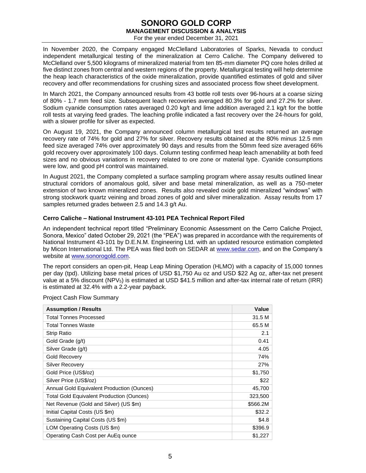For the year ended December 31, 2021

In November 2020, the Company engaged McClelland Laboratories of Sparks, Nevada to conduct independent metallurgical testing of the mineralization at Cerro Caliche. The Company delivered to McClelland over 5,500 kilograms of mineralized material from ten 85-mm diameter PQ core holes drilled at five distinct zones from central and western regions of the property. Metallurgical testing will help determine the heap leach characteristics of the oxide mineralization, provide quantified estimates of gold and silver recovery and offer recommendations for crushing sizes and associated process flow sheet development.

In March 2021, the Company announced results from 43 bottle roll tests over 96-hours at a coarse sizing of 80% - 1.7 mm feed size. Subsequent leach recoveries averaged 80.3% for gold and 27.2% for silver. Sodium cyanide consumption rates averaged 0.20 kg/t and lime addition averaged 2.1 kg/t for the bottle roll tests at varying feed grades. The leaching profile indicated a fast recovery over the 24-hours for gold, with a slower profile for silver as expected.

On August 19, 2021, the Company announced column metallurgical test results returned an average recovery rate of 74% for gold and 27% for silver. Recovery results obtained at the 80% minus 12.5 mm feed size averaged 74% over approximately 90 days and results from the 50mm feed size averaged 66% gold recovery over approximately 100 days. Column testing confirmed heap leach amenability at both feed sizes and no obvious variations in recovery related to ore zone or material type. Cyanide consumptions were low, and good pH control was maintained.

In August 2021, the Company completed a surface sampling program where assay results outlined linear structural corridors of anomalous gold, silver and base metal mineralization, as well as a 750-meter extension of two known mineralized zones. Results also revealed oxide gold mineralized "windows" with strong stockwork quartz veining and broad zones of gold and silver mineralization. Assay results from 17 samples returned grades between 2.5 and 14.3 g/t Au.

### **Cerro Caliche – National Instrument 43-101 PEA Technical Report Filed**

An independent technical report titled "Preliminary Economic Assessment on the Cerro Caliche Project, Sonora, Mexico" dated October 29, 2021 (the "PEA") was prepared in accordance with the requirements of National Instrument 43-101 by D.E.N.M. Engineering Ltd. with an updated resource estimation completed by Micon International Ltd. The PEA was filed both on SEDAR at [www.sedar.com,](http://www.sedar.com/) and on the Company's website at [www.sonorogold.com.](http://www.sonorogold.com/)

The report considers an open-pit, Heap Leap Mining Operation (HLMO) with a capacity of 15,000 tonnes per day (tpd). Utilizing base metal prices of USD \$1,750 Au oz and USD \$22 Ag oz, after-tax net present value at a 5% discount (NPV<sub>5</sub>) is estimated at USD \$41.5 million and after-tax internal rate of return (IRR) is estimated at 32.4% with a 2.2-year payback.

|  |  |  |  | <b>Project Cash Flow Summary</b> |  |
|--|--|--|--|----------------------------------|--|
|--|--|--|--|----------------------------------|--|

| <b>Assumption / Results</b>                       | Value    |
|---------------------------------------------------|----------|
| <b>Total Tonnes Processed</b>                     | 31.5 M   |
| Total Tonnes Waste                                | 65.5 M   |
| Strip Ratio                                       | 2.1      |
| Gold Grade (g/t)                                  | 0.41     |
| Silver Grade (g/t)                                | 4.05     |
| <b>Gold Recovery</b>                              | 74%      |
| Silver Recovery                                   | 27%      |
| Gold Price (US\$/oz)                              | \$1,750  |
| Silver Price (US\$/oz)                            | \$22     |
| <b>Annual Gold Equivalent Production (Ounces)</b> | 45,700   |
| <b>Total Gold Equivalent Production (Ounces)</b>  | 323,500  |
| Net Revenue (Gold and Silver) (US \$m)            | \$566.2M |
| Initial Capital Costs (US \$m)                    | \$32.2   |
| Sustaining Capital Costs (US \$m)                 | \$4.8    |
| LOM Operating Costs (US \$m)                      | \$396.9  |
| Operating Cash Cost per AuEq ounce                | \$1,227  |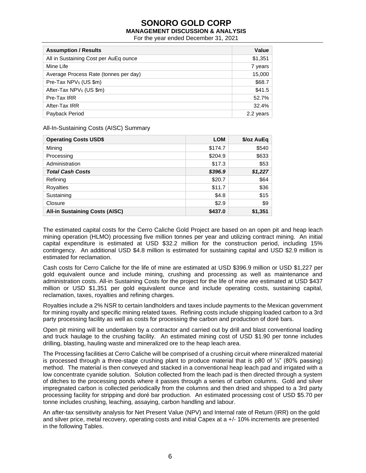For the year ended December 31, 2021

| <b>Assumption / Results</b>           | Value     |
|---------------------------------------|-----------|
| All in Sustaining Cost per AuEq ounce | \$1,351   |
| Mine Life                             | 7 years   |
| Average Process Rate (tonnes per day) | 15,000    |
| Pre-Tax NPV <sub>5</sub> (US \$m)     | \$68.7    |
| After-Tax NPV <sub>5</sub> (US \$m)   | \$41.5    |
| Pre-Tax IRR                           | 52.7%     |
| After-Tax IRR                         | 32.4%     |
| Payback Period                        | 2.2 years |

All-In-Sustaining Costs (AISC) Summary

| <b>Operating Costs USD\$</b>          | <b>LOM</b> | \$/oz AuEq |
|---------------------------------------|------------|------------|
| Mining                                | \$174.7    | \$540      |
| Processing                            | \$204.9    | \$633      |
| Administration                        | \$17.3     | \$53       |
| <b>Total Cash Costs</b>               | \$396.9    | \$1,227    |
| Refining                              | \$20.7     | \$64       |
| Royalties                             | \$11.7     | \$36       |
| Sustaining                            | \$4.8      | \$15       |
| Closure                               | \$2.9      | \$9        |
| <b>All-in Sustaining Costs (AISC)</b> | \$437.0    | \$1,351    |

The estimated capital costs for the Cerro Caliche Gold Project are based on an open pit and heap leach mining operation (HLMO) processing five million tonnes per year and utilizing contract mining. An initial capital expenditure is estimated at USD \$32.2 million for the construction period, including 15% contingency. An additional USD \$4.8 million is estimated for sustaining capital and USD \$2.9 million is estimated for reclamation.

Cash costs for Cerro Caliche for the life of mine are estimated at USD \$396.9 million or USD \$1,227 per gold equivalent ounce and include mining, crushing and processing as well as maintenance and administration costs. All-in Sustaining Costs for the project for the life of mine are estimated at USD \$437 million or USD \$1,351 per gold equivalent ounce and include operating costs, sustaining capital, reclamation, taxes, royalties and refining charges.

Royalties include a 2% NSR to certain landholders and taxes include payments to the Mexican government for mining royalty and specific mining related taxes. Refining costs include shipping loaded carbon to a 3rd party processing facility as well as costs for processing the carbon and production of doré bars.

Open pit mining will be undertaken by a contractor and carried out by drill and blast conventional loading and truck haulage to the crushing facility. An estimated mining cost of USD \$1.90 per tonne includes drilling, blasting, hauling waste and mineralized ore to the heap leach area.

The Processing facilities at Cerro Caliche will be comprised of a crushing circuit where mineralized material is processed through a three-stage crushing plant to produce material that is p80 of  $\frac{1}{2}$ " (80% passing) method. The material is then conveyed and stacked in a conventional heap leach pad and irrigated with a low concentrate cyanide solution. Solution collected from the leach pad is then directed through a system of ditches to the processing ponds where it passes through a series of carbon columns. Gold and silver impregnated carbon is collected periodically from the columns and then dried and shipped to a 3rd party processing facility for stripping and doré bar production. An estimated processing cost of USD \$5.70 per tonne includes crushing, leaching, assaying, carbon handling and labour.

An after-tax sensitivity analysis for Net Present Value (NPV) and Internal rate of Return (IRR) on the gold and silver price, metal recovery, operating costs and initial Capex at a +/- 10% increments are presented in the following Tables.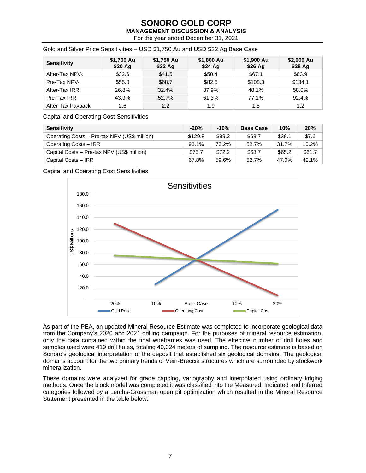For the year ended December 31, 2021

| <b>Sensitivity</b>         | \$1,700 Au<br>\$20 Ag | \$1,750 Au<br>\$22 Ag | \$1,800 Au<br>\$24 Ag | \$1,900 Au<br>\$26 Ag | \$2,000 Au<br>$$28$ Ag |
|----------------------------|-----------------------|-----------------------|-----------------------|-----------------------|------------------------|
| After-Tax NPV <sub>5</sub> | \$32.6                | \$41.5                | \$50.4                | \$67.1                | \$83.9                 |
| Pre-Tax $NPV5$             | \$55.0                | \$68.7                | \$82.5                | \$108.3               | \$134.1                |
| After-Tax IRR              | 26.8%                 | 32.4%                 | 37.9%                 | 48.1%                 | 58.0%                  |
| Pre-Tax IRR                | 43.9%                 | 52.7%                 | 61.3%                 | 77.1%                 | 92.4%                  |
| After-Tax Payback          | 2.6                   | 2.2                   | 1.9                   | 1.5                   | 1.2                    |

Gold and Silver Price Sensitivities – USD \$1,750 Au and USD \$22 Ag Base Case

Capital and Operating Cost Sensitivities

| <b>Sensitivity</b>                           | $-20%$  | $-10%$ | <b>Base Case</b> | 10%    | 20%    |
|----------------------------------------------|---------|--------|------------------|--------|--------|
| Operating Costs - Pre-tax NPV (US\$ million) | \$129.8 | \$99.3 | \$68.7           | \$38.1 | \$7.6  |
| Operating Costs - IRR                        | 93.1%   | 73.2%  | 52.7%            | 31.7%  | 10.2%  |
| Capital Costs - Pre-tax NPV (US\$ million)   | \$75.7  | \$72.2 | \$68.7           | \$65.2 | \$61.7 |
| Capital Costs - IRR                          | 67.8%   | 59.6%  | 52.7%            | 47.0%  | 42.1%  |

Capital and Operating Cost Sensitivities



As part of the PEA, an updated Mineral Resource Estimate was completed to incorporate geological data from the Company's 2020 and 2021 drilling campaign. For the purposes of mineral resource estimation, only the data contained within the final wireframes was used. The effective number of drill holes and samples used were 419 drill holes, totaling 40,024 meters of sampling. The resource estimate is based on Sonoro's geological interpretation of the deposit that established six geological domains. The geological domains account for the two primary trends of Vein-Breccia structures which are surrounded by stockwork mineralization.

These domains were analyzed for grade capping, variography and interpolated using ordinary kriging methods. Once the block model was completed it was classified into the Measured, Indicated and Inferred categories followed by a Lerchs-Grossman open pit optimization which resulted in the Mineral Resource Statement presented in the table below: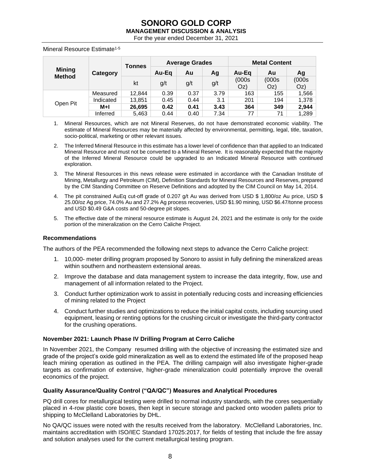For the year ended December 31, 2021

Mineral Resource Estimate<sup>1-5</sup>

|                           |           | <b>Tonnes</b> | <b>Average Grades</b> |      | <b>Metal Content</b> |              |              |              |
|---------------------------|-----------|---------------|-----------------------|------|----------------------|--------------|--------------|--------------|
| <b>Mining</b><br>Category |           |               | Au-Ea                 | Au   | Ag                   | Au-Eq        | Au           | Aq           |
| <b>Method</b>             |           | kt            | g/t                   | g/t  | g/t                  | (000s<br>Oz) | (000s<br>Oz) | (000s<br>Oz) |
|                           | Measured  | 12.844        | 0.39                  | 0.37 | 3.79                 | 163          | 155          | 1,566        |
|                           | Indicated | 13,851        | 0.45                  | 0.44 | 3.1                  | 201          | 194          | 1,378        |
| Open Pit                  | $M+1$     | 26.695        | 0.42                  | 0.41 | 3.43                 | 364          | 349          | 2,944        |
|                           | Inferred  | 5,463         | 0.44                  | 0.40 | 7.34                 | 77           | 71           | 1,289        |

- 1. Mineral Resources, which are not Mineral Reserves, do not have demonstrated economic viability. The estimate of Mineral Resources may be materially affected by environmental, permitting, legal, title, taxation, socio-political, marketing or other relevant issues.
- 2. The Inferred Mineral Resource in this estimate has a lower level of confidence than that applied to an Indicated Mineral Resource and must not be converted to a Mineral Reserve. It is reasonably expected that the majority of the Inferred Mineral Resource could be upgraded to an Indicated Mineral Resource with continued exploration.
- 3. The Mineral Resources in this news release were estimated in accordance with the Canadian Institute of Mining, Metallurgy and Petroleum (CIM), Definition Standards for Mineral Resources and Reserves, prepared by the CIM Standing Committee on Reserve Definitions and adopted by the CIM Council on May 14, 2014.
- 4. The pit constrained AuEq cut-off grade of 0.207 g/t Au was derived from USD \$ 1,800/oz Au price, USD \$ 25.00/oz Ag price, 74.0% Au and 27.2% Ag process recoveries, USD \$1.90 mining, USD \$6.47/tonne process and USD \$0.49 G&A costs and 50-degree pit slopes.
- 5. The effective date of the mineral resource estimate is August 24, 2021 and the estimate is only for the oxide portion of the mineralization on the Cerro Caliche Project.

### **Recommendations**

The authors of the PEA recommended the following next steps to advance the Cerro Caliche project:

- 1. 10,000- meter drilling program proposed by Sonoro to assist in fully defining the mineralized areas within southern and northeastern extensional areas.
- 2. Improve the database and data management system to increase the data integrity, flow, use and management of all information related to the Project.
- 3. Conduct further optimization work to assist in potentially reducing costs and increasing efficiencies of mining related to the Project
- 4. Conduct further studies and optimizations to reduce the initial capital costs, including sourcing used equipment, leasing or renting options for the crushing circuit or investigate the third-party contractor for the crushing operations.

### **November 2021: Launch Phase IV Drilling Program at Cerro Caliche**

In November 2021, the Company resumed drilling with the objective of increasing the estimated size and grade of the project's oxide gold mineralization as well as to extend the estimated life of the proposed heap leach mining operation as outlined in the PEA. The drilling campaign will also investigate higher-grade targets as confirmation of extensive, higher-grade mineralization could potentially improve the overall economics of the project.

### **Quality Assurance/Quality Control ("QA/QC") Measures and Analytical Procedures**

PQ drill cores for metallurgical testing were drilled to normal industry standards, with the cores sequentially placed in 4-row plastic core boxes, then kept in secure storage and packed onto wooden pallets prior to shipping to McClelland Laboratories by DHL.

No QA/QC issues were noted with the results received from the laboratory. McClelland Laboratories, Inc. maintains accreditation with ISO/IEC Standard 17025:2017, for fields of testing that include the fire assay and solution analyses used for the current metallurgical testing program.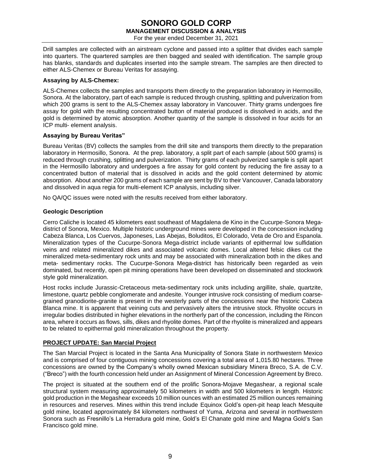### **SONORO GOLD CORP MANAGEMENT DISCUSSION & ANALYSIS** For the year ended December 31, 2021

Drill samples are collected with an airstream cyclone and passed into a splitter that divides each sample into quarters. The quartered samples are then bagged and sealed with identification. The sample group has blanks, standards and duplicates inserted into the sample stream. The samples are then directed to either ALS-Chemex or Bureau Veritas for assaying.

### **Assaying by ALS-Chemex:**

ALS-Chemex collects the samples and transports them directly to the preparation laboratory in Hermosillo, Sonora. At the laboratory, part of each sample is reduced through crushing, splitting and pulverization from which 200 grams is sent to the ALS-Chemex assay laboratory in Vancouver. Thirty grams undergoes fire assay for gold with the resulting concentrated button of material produced is dissolved in acids, and the gold is determined by atomic absorption. Another quantity of the sample is dissolved in four acids for an ICP multi- element analysis.

### **Assaying by Bureau Veritas"**

Bureau Veritas (BV) collects the samples from the drill site and transports them directly to the preparation laboratory in Hermosillo, Sonora. At the prep. laboratory, a split part of each sample (about 500 grams) is reduced through crushing, splitting and pulverization. Thirty grams of each pulverized sample is split apart in the Hermosillo laboratory and undergoes a fire assay for gold content by reducing the fire assay to a concentrated button of material that is dissolved in acids and the gold content determined by atomic absorption. About another 200 grams of each sample are sent by BV to their Vancouver, Canada laboratory and dissolved in aqua regia for multi-element ICP analysis, including silver.

No QA/QC issues were noted with the results received from either laboratory.

### **Geologic Description**

Cerro Caliche is located 45 kilometers east southeast of Magdalena de Kino in the Cucurpe-Sonora Megadistrict of Sonora, Mexico. Multiple historic underground mines were developed in the concession including Cabeza Blanca, Los Cuervos, Japoneses, Las Abejas, Boluditos, El Colorado, Veta de Oro and Espanola. Mineralization types of the Cucurpe-Sonora Mega-district include variants of epithermal low sulfidation veins and related mineralized dikes and associated volcanic domes. Local altered felsic dikes cut the mineralized meta-sedimentary rock units and may be associated with mineralization both in the dikes and meta- sedimentary rocks. The Cucurpe-Sonora Mega-district has historically been regarded as vein dominated, but recently, open pit mining operations have been developed on disseminated and stockwork style gold mineralization.

Host rocks include Jurassic-Cretaceous meta-sedimentary rock units including argillite, shale, quartzite, limestone, quartz pebble conglomerate and andesite. Younger intrusive rock consisting of medium coarsegrained granodiorite-granite is present in the westerly parts of the concessions near the historic Cabeza Blanca mine. It is apparent that veining cuts and pervasively alters the intrusive stock. Rhyolite occurs in irregular bodies distributed in higher elevations in the northerly part of the concession, including the Rincon area, where it occurs as flows, sills, dikes and rhyolite domes. Part of the rhyolite is mineralized and appears to be related to epithermal gold mineralization throughout the property.

### **PROJECT UPDATE: San Marcial Project**

The San Marcial Project is located in the Santa Ana Municipality of Sonora State in northwestern Mexico and is comprised of four contiguous mining concessions covering a total area of 1,015.80 hectares. Three concessions are owned by the Company's wholly owned Mexican subsidiary Minera Breco, S.A. de C.V. ("Breco") with the fourth concession held under an Assignment of Mineral Concession Agreement by Breco.

The project is situated at the southern end of the prolific Sonora-Mojave Megashear, a regional scale structural system measuring approximately 50 kilometers in width and 500 kilometers in length. Historic gold production in the Megashear exceeds 10 million ounces with an estimated 25 million ounces remaining in resources and reserves. Mines within this trend include Equinox Gold's open-pit heap leach Mesquite gold mine, located approximately 84 kilometers northwest of Yuma, Arizona and several in northwestern Sonora such as Fresnillo's La Herradura gold mine, Gold's El Chanate gold mine and Magna Gold's San Francisco gold mine.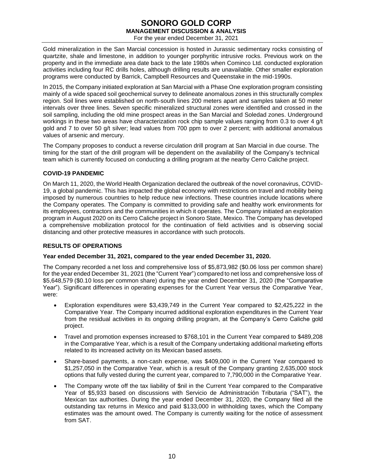For the year ended December 31, 2021

Gold mineralization in the San Marcial concession is hosted in Jurassic sedimentary rocks consisting of quartzite, shale and limestone, in addition to younger porphyritic intrusive rocks. Previous work on the property and in the immediate area date back to the late 1980s when Cominco Ltd. conducted exploration activities including four RC drills holes, although drilling results are unavailable. Other smaller exploration programs were conducted by Barrick, Campbell Resources and Queenstake in the mid-1990s.

In 2015, the Company initiated exploration at San Marcial with a Phase One exploration program consisting mainly of a wide spaced soil geochemical survey to delineate anomalous zones in this structurally complex region. Soil lines were established on north-south lines 200 meters apart and samples taken at 50 meter intervals over three lines. Seven specific mineralized structural zones were identified and crossed in the soil sampling, including the old mine prospect areas in the San Marcial and Soledad zones. Underground workings in these two areas have characterization rock chip sample values ranging from 0.3 to over 4 g/t gold and 7 to over 50 g/t silver; lead values from 700 ppm to over 2 percent; with additional anomalous values of arsenic and mercury.

The Company proposes to conduct a reverse circulation drill program at San Marcial in due course. The timing for the start of the drill program will be dependent on the availability of the Company's technical team which is currently focused on conducting a drilling program at the nearby Cerro Caliche project.

### **COVID-19 PANDEMIC**

On March 11, 2020, the World Health Organization declared the outbreak of the novel coronavirus, COVID-19, a global pandemic. This has impacted the global economy with restrictions on travel and mobility being imposed by numerous countries to help reduce new infections. These countries include locations where the Company operates. The Company is committed to providing safe and healthy work environments for its employees, contractors and the communities in which it operates. The Company initiated an exploration program in August 2020 on its Cerro Caliche project in Sonoro State, Mexico. The Company has developed a comprehensive mobilization protocol for the continuation of field activities and is observing social distancing and other protective measures in accordance with such protocols.

### **RESULTS OF OPERATIONS**

### **Year ended December 31, 2021, compared to the year ended December 31, 2020.**

The Company recorded a net loss and comprehensive loss of \$5,873,982 (\$0.06 loss per common share) for the year ended December 31, 2021 (the "Current Year") compared to net loss and comprehensive loss of \$5,648,579 (\$0.10 loss per common share) during the year ended December 31, 2020 (the "Comparative Year"). Significant differences in operating expenses for the Current Year versus the Comparative Year, were:

- Exploration expenditures were \$3,439,749 in the Current Year compared to \$2,425,222 in the Comparative Year. The Company incurred additional exploration expenditures in the Current Year from the residual activities in its ongoing drilling program, at the Company's Cerro Caliche gold project.
- Travel and promotion expenses increased to \$768,101 in the Current Year compared to \$489,208 in the Comparative Year, which is a result of the Company undertaking additional marketing efforts related to its increased activity on its Mexican based assets.
- Share-based payments, a non-cash expense, was \$409,000 in the Current Year compared to \$1,257,050 in the Comparative Year, which is a result of the Company granting 2,635,000 stock options that fully vested during the current year, compared to 7,790,000 in the Comparative Year.
- The Company wrote off the tax liability of \$nil in the Current Year compared to the Comparative Year of \$5,933 based on discussions with Servicio de Administración Tributaria ("SAT"), the Mexican tax authorities. During the year ended December 31, 2020, the Company filed all the outstanding tax returns in Mexico and paid \$133,000 in withholding taxes, which the Company estimates was the amount owed. The Company is currently waiting for the notice of assessment from SAT.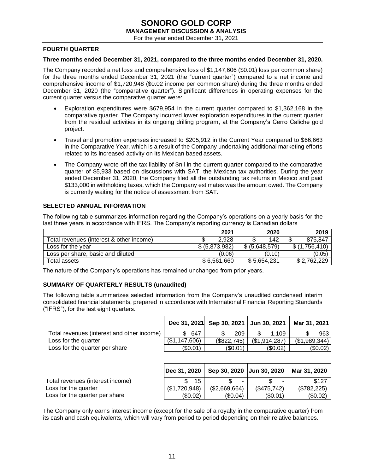For the year ended December 31, 2021

### **FOURTH QUARTER**

### **Three months ended December 31, 2021, compared to the three months ended December 31, 2020.**

The Company recorded a net loss and comprehensive loss of \$1,147,606 (\$0.01) loss per common share) for the three months ended December 31, 2021 (the "current quarter") compared to a net income and comprehensive income of \$1,720,948 (\$0.02 income per common share) during the three months ended December 31, 2020 (the "comparative quarter"). Significant differences in operating expenses for the current quarter versus the comparative quarter were:

- Exploration expenditures were \$679,954 in the current quarter compared to \$1,362,168 in the comparative quarter. The Company incurred lower exploration expenditures in the current quarter from the residual activities in its ongoing drilling program, at the Company's Cerro Caliche gold project.
- Travel and promotion expenses increased to \$205,912 in the Current Year compared to \$66,663 in the Comparative Year, which is a result of the Company undertaking additional marketing efforts related to its increased activity on its Mexican based assets.
- The Company wrote off the tax liability of \$nil in the current quarter compared to the comparative quarter of \$5,933 based on discussions with SAT, the Mexican tax authorities. During the year ended December 31, 2020, the Company filed all the outstanding tax returns in Mexico and paid \$133,000 in withholding taxes, which the Company estimates was the amount owed. The Company is currently waiting for the notice of assessment from SAT.

### **SELECTED ANNUAL INFORMATION**

The following table summarizes information regarding the Company's operations on a yearly basis for the last three years in accordance with IFRS. The Company's reporting currency is Canadian dollars

|                                          | 2021           | 2020           | 2019          |
|------------------------------------------|----------------|----------------|---------------|
| Total revenues (interest & other income) | 2.928          | 142            | 875.847       |
| Loss for the year                        | \$ (5,873,982) | \$ (5,648,579) | \$(1.756.410) |
| Loss per share, basic and diluted        | (0.06)         | (0.10)         | (0.05)        |
| Total assets                             | \$6,561,660    | \$5,654,231    | \$2.762.229   |

The nature of the Company's operations has remained unchanged from prior years.

### **SUMMARY OF QUARTERLY RESULTS (unaudited)**

The following table summarizes selected information from the Company's unaudited condensed interim consolidated financial statements, prepared in accordance with International Financial Reporting Standards ("IFRS"), for the last eight quarters.

|                                            |               | Dec 31, 2021 Sep 30, 2021 Jun 30, 2021 |               | Mar 31, 2021 |
|--------------------------------------------|---------------|----------------------------------------|---------------|--------------|
| Total revenues (interest and other income) | 647<br>£.     | 209                                    | 1.109         | 963          |
| Loss for the quarter                       | (\$1,147,606) | (\$822,745)                            | (\$1,914,287) | (S1,989,344) |
| Loss for the quarter per share             | (\$0.01)      | (S0.01)                                | (S0.02)       | (\$0.02)     |

|                                  | Dec 31, 2020  | Sep 30, 2020 Jun 30, 2020 |             | Mar 31, 2020 |
|----------------------------------|---------------|---------------------------|-------------|--------------|
| Total revenues (interest income) | 15            |                           | -           | \$127        |
| Loss for the quarter             | (\$1,720,948) | (\$2,669,664)             | (\$475,742) | (S782.225)   |
| Loss for the quarter per share   | (\$0.02)      | (\$0.04)                  | (\$0.01)    | (\$0.02)     |

The Company only earns interest income (except for the sale of a royalty in the comparative quarter) from its cash and cash equivalents, which will vary from period to period depending on their relative balances.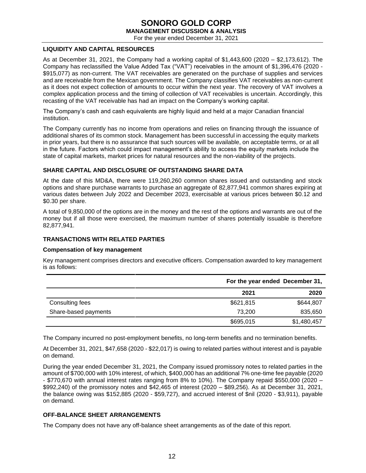For the year ended December 31, 2021

### **LIQUIDITY AND CAPITAL RESOURCES**

As at December 31, 2021, the Company had a working capital of \$1,443,600 (2020 – \$2,173,612). The Company has reclassified the Value Added Tax ("VAT") receivables in the amount of \$1,396,476 (2020 - \$915,077) as non-current. The VAT receivables are generated on the purchase of supplies and services and are receivable from the Mexican government. The Company classifies VAT receivables as non-current as it does not expect collection of amounts to occur within the next year. The recovery of VAT involves a complex application process and the timing of collection of VAT receivables is uncertain. Accordingly, this recasting of the VAT receivable has had an impact on the Company's working capital.

The Company's cash and cash equivalents are highly liquid and held at a major Canadian financial institution.

The Company currently has no income from operations and relies on financing through the issuance of additional shares of its common stock. Management has been successful in accessing the equity markets in prior years, but there is no assurance that such sources will be available, on acceptable terms, or at all in the future. Factors which could impact management's ability to access the equity markets include the state of capital markets, market prices for natural resources and the non-viability of the projects.

### **SHARE CAPITAL AND DISCLOSURE OF OUTSTANDING SHARE DATA**

At the date of this MD&A, there were 119,260,260 common shares issued and outstanding and stock options and share purchase warrants to purchase an aggregate of 82,877,941 common shares expiring at various dates between July 2022 and December 2023, exercisable at various prices between \$0.12 and \$0.30 per share.

A total of 9,850,000 of the options are in the money and the rest of the options and warrants are out of the money but if all those were exercised, the maximum number of shares potentially issuable is therefore 82,877,941.

### **TRANSACTIONS WITH RELATED PARTIES**

### **Compensation of key management**

Key management comprises directors and executive officers. Compensation awarded to key management is as follows:

|                      | For the year ended December 31, |             |  |
|----------------------|---------------------------------|-------------|--|
|                      | 2021                            | 2020        |  |
| Consulting fees      | \$621,815                       | \$644,807   |  |
| Share-based payments | 73.200                          | 835,650     |  |
|                      | \$695,015                       | \$1,480,457 |  |

The Company incurred no post-employment benefits, no long-term benefits and no termination benefits.

At December 31, 2021, \$47,658 (2020 - \$22,017) is owing to related parties without interest and is payable on demand.

During the year ended December 31, 2021, the Company issued promissory notes to related parties in the amount of \$700,000 with 10% interest, of which, \$400,000 has an additional 7% one-time fee payable (2020 - \$770,670 with annual interest rates ranging from 8% to 10%). The Company repaid \$550,000 (2020 – \$992,240) of the promissory notes and \$42,465 of interest (2020 – \$89,256). As at December 31, 2021, the balance owing was \$152,885 (2020 - \$59,727), and accrued interest of \$nil (2020 - \$3,911), payable on demand.

### **OFF-BALANCE SHEET ARRANGEMENTS**

The Company does not have any off-balance sheet arrangements as of the date of this report.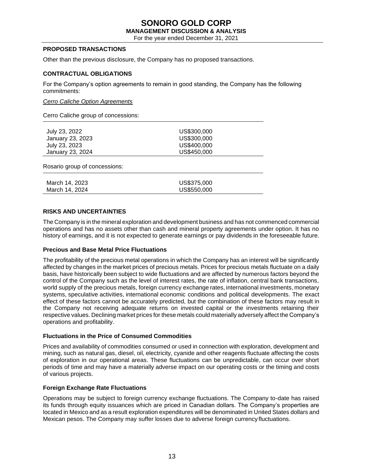# **SONORO GOLD CORP**

**MANAGEMENT DISCUSSION & ANALYSIS**

For the year ended December 31, 2021

### **PROPOSED TRANSACTIONS**

Other than the previous disclosure, the Company has no proposed transactions.

### **CONTRACTUAL OBLIGATIONS**

For the Company's option agreements to remain in good standing, the Company has the following commitments:

### *Cerro Caliche Option Agreements*

Cerro Caliche group of concessions:

| July 23, 2022                 | US\$300,000 |
|-------------------------------|-------------|
| January 23, 2023              | US\$300,000 |
| July 23, 2023                 | US\$400,000 |
| January 23, 2024              | US\$450,000 |
| Rosario group of concessions: |             |
|                               |             |
| March 14, 2023                | US\$375,000 |
| March 14, 2024                | US\$550,000 |
|                               |             |

### **RISKS AND UNCERTAINTIES**

The Company is in the mineral exploration and development business and has not commenced commercial operations and has no assets other than cash and mineral property agreements under option. It has no history of earnings, and it is not expected to generate earnings or pay dividends in the foreseeable future.

### **Precious and Base Metal Price Fluctuations**

The profitability of the precious metal operations in which the Company has an interest will be significantly affected by changes in the market prices of precious metals. Prices for precious metals fluctuate on a daily basis, have historically been subject to wide fluctuations and are affected by numerous factors beyond the control of the Company such as the level of interest rates, the rate of inflation, central bank transactions, world supply of the precious metals, foreign currency exchange rates, international investments, monetary systems, speculative activities, international economic conditions and political developments. The exact effect of these factors cannot be accurately predicted, but the combination of these factors may result in the Company not receiving adequate returns on invested capital or the investments retaining their respective values. Declining market prices for these metals could materially adversely affect the Company's operations and profitability.

### **Fluctuations in the Price of Consumed Commodities**

Prices and availability of commodities consumed or used in connection with exploration, development and mining, such as natural gas, diesel, oil, electricity, cyanide and other reagents fluctuate affecting the costs of exploration in our operational areas. These fluctuations can be unpredictable, can occur over short periods of time and may have a materially adverse impact on our operating costs or the timing and costs of various projects.

### **Foreign Exchange Rate Fluctuations**

Operations may be subject to foreign currency exchange fluctuations. The Company to-date has raised its funds through equity issuances which are priced in Canadian dollars. The Company's properties are located in Mexico and as a result exploration expenditures will be denominated in United States dollars and Mexican pesos. The Company may suffer losses due to adverse foreign currency fluctuations.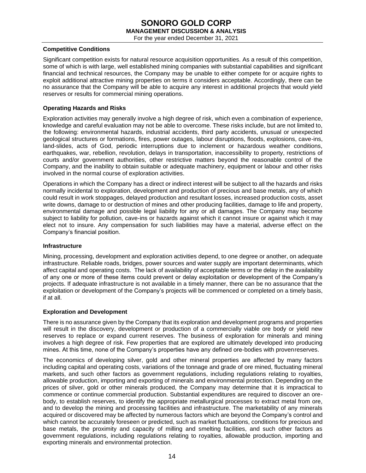For the year ended December 31, 2021

### **Competitive Conditions**

Significant competition exists for natural resource acquisition opportunities. As a result of this competition, some of which is with large, well established mining companies with substantial capabilities and significant financial and technical resources, the Company may be unable to either compete for or acquire rights to exploit additional attractive mining properties on terms it considers acceptable. Accordingly, there can be no assurance that the Company will be able to acquire any interest in additional projects that would yield reserves or results for commercial mining operations.

### **Operating Hazards and Risks**

Exploration activities may generally involve a high degree of risk, which even a combination of experience, knowledge and careful evaluation may not be able to overcome. These risks include, but are not limited to, the following: environmental hazards, industrial accidents, third party accidents, unusual or unexpected geological structures or formations, fires, power outages, labour disruptions, floods, explosions, cave-ins, land-slides, acts of God, periodic interruptions due to inclement or hazardous weather conditions, earthquakes, war, rebellion, revolution, delays in transportation, inaccessibility to property, restrictions of courts and/or government authorities, other restrictive matters beyond the reasonable control of the Company, and the inability to obtain suitable or adequate machinery, equipment or labour and other risks involved in the normal course of exploration activities.

Operations in which the Company has a direct or indirect interest will be subject to all the hazards and risks normally incidental to exploration, development and production of precious and base metals, any of which could result in work stoppages, delayed production and resultant losses, increased production costs, asset write downs, damage to or destruction of mines and other producing facilities, damage to life and property, environmental damage and possible legal liability for any or all damages. The Company may become subject to liability for pollution, cave-ins or hazards against which it cannot insure or against which it may elect not to insure. Any compensation for such liabilities may have a material, adverse effect on the Company's financial position.

### **Infrastructure**

Mining, processing, development and exploration activities depend, to one degree or another, on adequate infrastructure. Reliable roads, bridges, power sources and water supply are important determinants, which affect capital and operating costs. The lack of availability of acceptable terms or the delay in the availability of any one or more of these items could prevent or delay exploitation or development of the Company's projects. If adequate infrastructure is not available in a timely manner, there can be no assurance that the exploitation or development of the Company's projects will be commenced or completed on a timely basis, if at all.

### **Exploration and Development**

There is no assurance given by the Company that its exploration and development programs and properties will result in the discovery, development or production of a commercially viable ore body or yield new reserves to replace or expand current reserves. The business of exploration for minerals and mining involves a high degree of risk. Few properties that are explored are ultimately developed into producing mines. At this time, none of the Company's properties have any defined ore-bodies with provenreserves.

The economics of developing silver, gold and other mineral properties are affected by many factors including capital and operating costs, variations of the tonnage and grade of ore mined, fluctuating mineral markets, and such other factors as government regulations, including regulations relating to royalties, allowable production, importing and exporting of minerals and environmental protection. Depending on the prices of silver, gold or other minerals produced, the Company may determine that it is impractical to commence or continue commercial production. Substantial expenditures are required to discover an orebody, to establish reserves, to identify the appropriate metallurgical processes to extract metal from ore, and to develop the mining and processing facilities and infrastructure. The marketability of any minerals acquired or discovered may be affected by numerous factors which are beyond the Company's control and which cannot be accurately foreseen or predicted, such as market fluctuations, conditions for precious and base metals, the proximity and capacity of milling and smelting facilities, and such other factors as government regulations, including regulations relating to royalties, allowable production, importing and exporting minerals and environmental protection.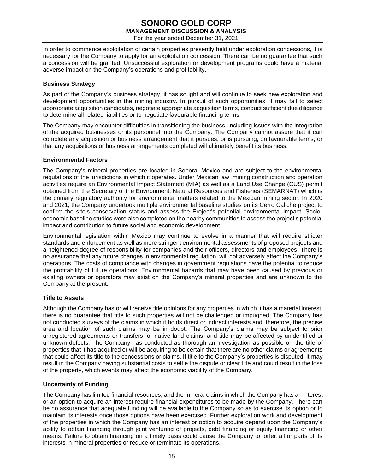### **SONORO GOLD CORP MANAGEMENT DISCUSSION & ANALYSIS** For the year ended December 31, 2021

In order to commence exploitation of certain properties presently held under exploration concessions, it is necessary for the Company to apply for an exploitation concession. There can be no guarantee that such a concession will be granted. Unsuccessful exploration or development programs could have a material adverse impact on the Company's operations and profitability.

### **Business Strategy**

As part of the Company's business strategy, it has sought and will continue to seek new exploration and development opportunities in the mining industry. In pursuit of such opportunities, it may fail to select appropriate acquisition candidates, negotiate appropriate acquisition terms, conduct sufficient due diligence to determine all related liabilities or to negotiate favourable financing terms.

The Company may encounter difficulties in transitioning the business, including issues with the integration of the acquired businesses or its personnel into the Company. The Company cannot assure that it can complete any acquisition or business arrangement that it pursues, or is pursuing, on favourable terms, or that any acquisitions or business arrangements completed will ultimately benefit its business.

### **Environmental Factors**

The Company's mineral properties are located in Sonora, Mexico and are subject to the environmental regulations of the jurisdictions in which it operates. Under Mexican law, mining construction and operation activities require an Environmental Impact Statement (MIA) as well as a Land Use Change (CUS) permit obtained from the Secretary of the Environment, Natural Resources and Fisheries (SEMARNAT) which is the primary regulatory authority for environmental matters related to the Mexican mining sector. In 2020 and 2021, the Company undertook multiple environmental baseline studies on its Cerro Caliche project to confirm the site's conservation status and assess the Project's potential environmental impact. Socioeconomic baseline studies were also completed on the nearby communities to assess the project's potential impact and contribution to future social and economic development.

Environmental legislation within Mexico may continue to evolve in a manner that will require stricter standards and enforcement as well as more stringent environmental assessments of proposed projects and a heightened degree of responsibility for companies and their officers, directors and employees. There is no assurance that any future changes in environmental regulation, will not adversely affect the Company's operations. The costs of compliance with changes in government regulations have the potential to reduce the profitability of future operations. Environmental hazards that may have been caused by previous or existing owners or operators may exist on the Company's mineral properties and are unknown to the Company at the present.

### **Title to Assets**

Although the Company has or will receive title opinions for any properties in which it has a material interest, there is no guarantee that title to such properties will not be challenged or impugned. The Company has not conducted surveys of the claims in which it holds direct or indirect interests and, therefore, the precise area and location of such claims may be in doubt. The Company's claims may be subject to prior unregistered agreements or transfers, or native land claims, and title may be affected by unidentified or unknown defects. The Company has conducted as thorough an investigation as possible on the title of properties that it has acquired or will be acquiring to be certain that there are no other claims or agreements that could affect its title to the concessions or claims. If title to the Company's properties is disputed, it may result in the Company paying substantial costs to settle the dispute or clear title and could result in the loss of the property, which events may affect the economic viability of the Company.

### **Uncertainty of Funding**

The Company has limited financial resources, and the mineral claims in which the Company has an interest or an option to acquire an interest require financial expenditures to be made by the Company. There can be no assurance that adequate funding will be available to the Company so as to exercise its option or to maintain its interests once those options have been exercised. Further exploration work and development of the properties in which the Company has an interest or option to acquire depend upon the Company's ability to obtain financing through joint venturing of projects, debt financing or equity financing or other means. Failure to obtain financing on a timely basis could cause the Company to forfeit all or parts of its interests in mineral properties or reduce or terminate its operations.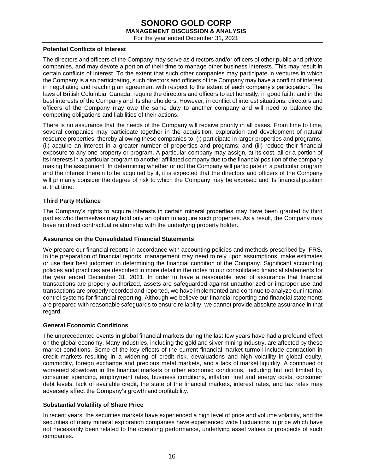For the year ended December 31, 2021

### **Potential Conflicts of Interest**

The directors and officers of the Company may serve as directors and/or officers of other public and private companies, and may devote a portion of their time to manage other business interests. This may result in certain conflicts of interest. To the extent that such other companies may participate in ventures in which the Company is also participating, such directors and officers of the Company may have a conflict of interest in negotiating and reaching an agreement with respect to the extent of each company's participation. The laws of British Columbia, Canada, require the directors and officers to act honestly, in good faith, and in the best interests of the Company and its shareholders. However, in conflict of interest situations, directors and officers of the Company may owe the same duty to another company and will need to balance the competing obligations and liabilities of their actions.

There is no assurance that the needs of the Company will receive priority in all cases. From time to time, several companies may participate together in the acquisition, exploration and development of natural resource properties, thereby allowing these companies to: (i) participate in larger properties and programs; (ii) acquire an interest in a greater number of properties and programs; and (iii) reduce their financial exposure to any one property or program. A particular company may assign, at its cost, all or a portion of its interests in a particular program to another affiliated company due to the financial position of the company making the assignment. In determining whether or not the Company will participate in a particular program and the interest therein to be acquired by it, it is expected that the directors and officers of the Company will primarily consider the degree of risk to which the Company may be exposed and its financial position at that time.

### **Third Party Reliance**

The Company's rights to acquire interests in certain mineral properties may have been granted by third parties who themselves may hold only an option to acquire such properties. As a result, the Company may have no direct contractual relationship with the underlying property holder.

### **Assurance on the Consolidated Financial Statements**

We prepare our financial reports in accordance with accounting policies and methods prescribed by IFRS. In the preparation of financial reports, management may need to rely upon assumptions, make estimates or use their best judgment in determining the financial condition of the Company. Significant accounting policies and practices are described in more detail in the notes to our consolidated financial statements for the year ended December 31, 2021. In order to have a reasonable level of assurance that financial transactions are properly authorized, assets are safeguarded against unauthorized or improper use and transactions are properly recorded and reported, we have implemented and continue to analyze our internal control systems for financial reporting. Although we believe our financial reporting and financial statements are prepared with reasonable safeguards to ensure reliability, we cannot provide absolute assurance in that regard.

### **General Economic Conditions**

The unprecedented events in global financial markets during the last few years have had a profound effect on the global economy. Many industries, including the gold and silver mining industry, are affected by these market conditions. Some of the key effects of the current financial market turmoil include contraction in credit markets resulting in a widening of credit risk, devaluations and high volatility in global equity, commodity, foreign exchange and precious metal markets, and a lack of market liquidity. A continued or worsened slowdown in the financial markets or other economic conditions, including but not limited to, consumer spending, employment rates, business conditions, inflation, fuel and energy costs, consumer debt levels, lack of available credit, the state of the financial markets, interest rates, and tax rates may adversely affect the Company's growth and profitability.

### **Substantial Volatility of Share Price**

In recent years, the securities markets have experienced a high level of price and volume volatility, and the securities of many mineral exploration companies have experienced wide fluctuations in price which have not necessarily been related to the operating performance, underlying asset values or prospects of such companies.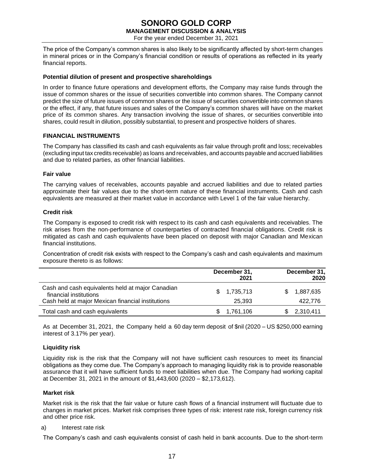For the year ended December 31, 2021

The price of the Company's common shares is also likely to be significantly affected by short-term changes in mineral prices or in the Company's financial condition or results of operations as reflected in its yearly financial reports.

### **Potential dilution of present and prospective shareholdings**

In order to finance future operations and development efforts, the Company may raise funds through the issue of common shares or the issue of securities convertible into common shares. The Company cannot predict the size of future issues of common shares or the issue of securities convertible into common shares or the effect, if any, that future issues and sales of the Company's common shares will have on the market price of its common shares. Any transaction involving the issue of shares, or securities convertible into shares, could result in dilution, possibly substantial, to present and prospective holders of shares.

### **FINANCIAL INSTRUMENTS**

The Company has classified its cash and cash equivalents as fair value through profit and loss; receivables (excluding input tax credits receivable) as loans and receivables, and accounts payable and accrued liabilities and due to related parties, as other financial liabilities.

### **Fair value**

The carrying values of receivables, accounts payable and accrued liabilities and due to related parties approximate their fair values due to the short-term nature of these financial instruments. Cash and cash equivalents are measured at their market value in accordance with Level 1 of the fair value hierarchy.

### **Credit risk**

The Company is exposed to credit risk with respect to its cash and cash equivalents and receivables. The risk arises from the non-performance of counterparties of contracted financial obligations. Credit risk is mitigated as cash and cash equivalents have been placed on deposit with major Canadian and Mexican financial institutions.

Concentration of credit risk exists with respect to the Company's cash and cash equivalents and maximum exposure thereto is as follows:

|                                                                                                                                 |     | December 31,<br>2021  | December 31,<br>2020 |
|---------------------------------------------------------------------------------------------------------------------------------|-----|-----------------------|----------------------|
| Cash and cash equivalents held at major Canadian<br>financial institutions<br>Cash held at major Mexican financial institutions |     | \$1,735,713<br>25.393 | 1,887,635<br>422,776 |
| Total cash and cash equivalents                                                                                                 | SS. | 1,761,106             | 2,310,411            |

As at December 31, 2021, the Company held a 60 day term deposit of \$nil (2020 – US \$250,000 earning interest of 3.17% per year).

### **Liquidity risk**

Liquidity risk is the risk that the Company will not have sufficient cash resources to meet its financial obligations as they come due. The Company's approach to managing liquidity risk is to provide reasonable assurance that it will have sufficient funds to meet liabilities when due. The Company had working capital at December 31, 2021 in the amount of \$1,443,600 (2020 – \$2,173,612).

### **Market risk**

Market risk is the risk that the fair value or future cash flows of a financial instrument will fluctuate due to changes in market prices. Market risk comprises three types of risk: interest rate risk, foreign currency risk and other price risk.

### a) Interest rate risk

The Company's cash and cash equivalents consist of cash held in bank accounts. Due to the short-term